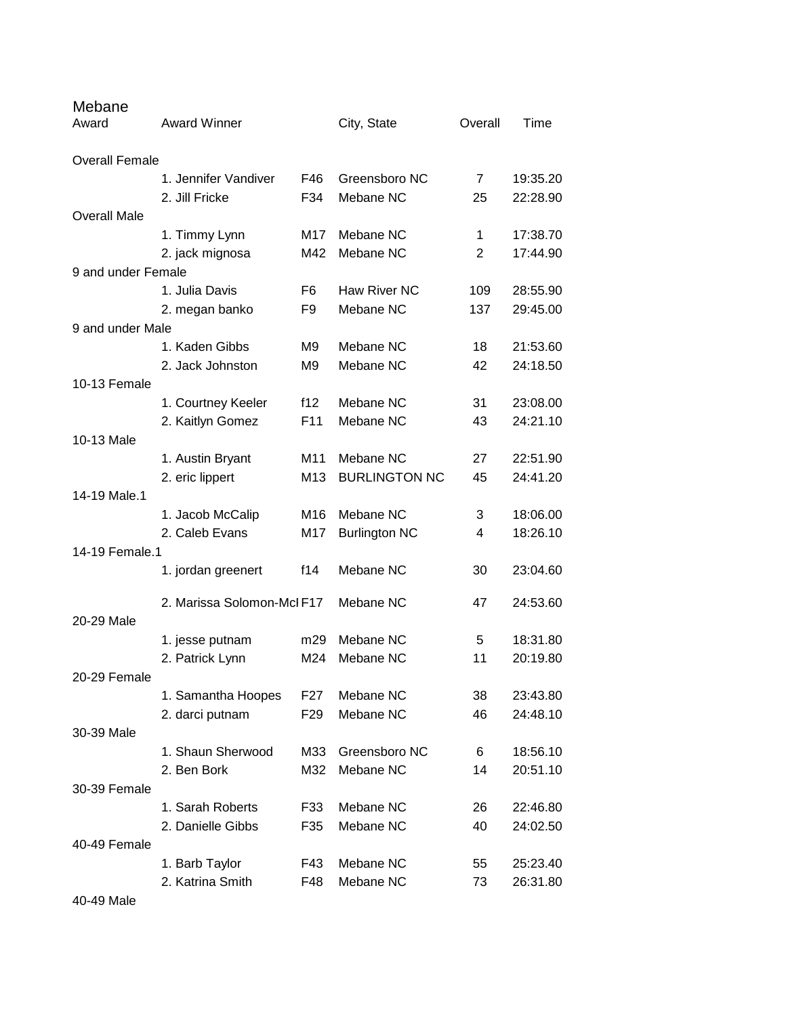| Mebane<br>Award       | <b>Award Winner</b>                |                 | City, State          | Overall        | Time     |
|-----------------------|------------------------------------|-----------------|----------------------|----------------|----------|
| <b>Overall Female</b> |                                    |                 |                      |                |          |
|                       | 1. Jennifer Vandiver               | F46             | Greensboro NC        | $\overline{7}$ | 19:35.20 |
|                       | 2. Jill Fricke                     | F34             | Mebane NC            | 25             | 22:28.90 |
| <b>Overall Male</b>   |                                    |                 |                      |                |          |
|                       | 1. Timmy Lynn                      | M17             | Mebane NC            | 1              | 17:38.70 |
|                       | 2. jack mignosa                    | M42             | Mebane NC            | 2              | 17:44.90 |
| 9 and under Female    |                                    |                 |                      |                |          |
|                       | 1. Julia Davis                     | F6              | Haw River NC         | 109            | 28:55.90 |
|                       | 2. megan banko                     | F9              | Mebane NC            | 137            | 29:45.00 |
| 9 and under Male      |                                    |                 |                      |                |          |
|                       | 1. Kaden Gibbs                     | M <sub>9</sub>  | Mebane NC            | 18             | 21:53.60 |
|                       | 2. Jack Johnston                   | M <sub>9</sub>  | Mebane NC            | 42             | 24:18.50 |
| 10-13 Female          |                                    |                 |                      |                |          |
|                       | 1. Courtney Keeler                 | f12             | Mebane NC            | 31             | 23:08.00 |
|                       | 2. Kaitlyn Gomez                   | F11             | Mebane NC            | 43             | 24:21.10 |
| 10-13 Male            |                                    |                 |                      |                |          |
|                       | 1. Austin Bryant                   | M11             | Mebane NC            | 27             | 22:51.90 |
|                       | 2. eric lippert                    | M <sub>13</sub> | <b>BURLINGTON NC</b> | 45             | 24:41.20 |
| 14-19 Male.1          |                                    | M16             | Mebane NC            | 3              | 18:06.00 |
|                       | 1. Jacob McCalip<br>2. Caleb Evans | M17             | <b>Burlington NC</b> | 4              | 18:26.10 |
| 14-19 Female.1        |                                    |                 |                      |                |          |
|                       | 1. jordan greenert                 | f14             | Mebane NC            | 30             | 23:04.60 |
|                       |                                    |                 |                      |                |          |
|                       | 2. Marissa Solomon-McI F17         |                 | Mebane NC            | 47             | 24:53.60 |
| 20-29 Male            |                                    |                 |                      |                |          |
|                       | 1. jesse putnam                    | m29             | Mebane NC            | 5              | 18:31.80 |
|                       | 2. Patrick Lynn                    | M24             | Mebane NC            | 11             | 20:19.80 |
| 20-29 Female          |                                    |                 |                      |                |          |
|                       | 1. Samantha Hoopes                 | F27             | Mebane NC            | 38             | 23:43.80 |
|                       | 2. darci putnam                    | F <sub>29</sub> | Mebane NC            | 46             | 24:48.10 |
| 30-39 Male            |                                    |                 |                      |                |          |
|                       | 1. Shaun Sherwood                  | M33             | Greensboro NC        | 6              | 18:56.10 |
|                       | 2. Ben Bork                        | M32             | Mebane NC            | 14             | 20:51.10 |
| 30-39 Female          |                                    |                 |                      |                |          |
|                       | 1. Sarah Roberts                   | F33             | Mebane NC            | 26             | 22:46.80 |
|                       | 2. Danielle Gibbs                  | F35             | Mebane NC            | 40             | 24:02.50 |
| 40-49 Female          |                                    |                 |                      |                |          |
|                       | 1. Barb Taylor                     | F43             | Mebane NC            | 55             | 25:23.40 |
|                       | 2. Katrina Smith                   | F48             | Mebane NC            | 73             | 26:31.80 |

40-49 Male